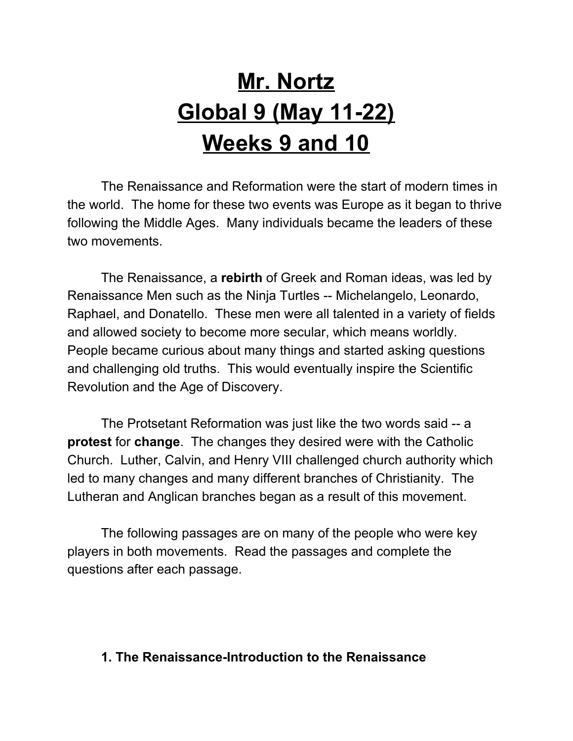# **Mr. Nortz Global 9 (May 11-22) Weeks 9 and 10**

The Renaissance and Reformation were the start of modern times in the world. The home for these two events was Europe as it began to thrive following the Middle Ages. Many individuals became the leaders of these two movements.

The Renaissance, a **rebirth** of Greek and Roman ideas, was led by Renaissance Men such as the Ninja Turtles -- Michelangelo, Leonardo, Raphael, and Donatello. These men were all talented in a variety of fields and allowed society to become more secular, which means worldly. People became curious about many things and started asking questions and challenging old truths. This would eventually inspire the Scientific Revolution and the Age of Discovery.

The Protsetant Reformation was just like the two words said -- a **protest** for **change**. The changes they desired were with the Catholic Church. Luther, Calvin, and Henry VIII challenged church authority which led to many changes and many different branches of Christianity. The Lutheran and Anglican branches began as a result of this movement.

The following passages are on many of the people who were key players in both movements. Read the passages and complete the questions after each passage.

### **1. The Renaissance-Introduction to the Renaissance**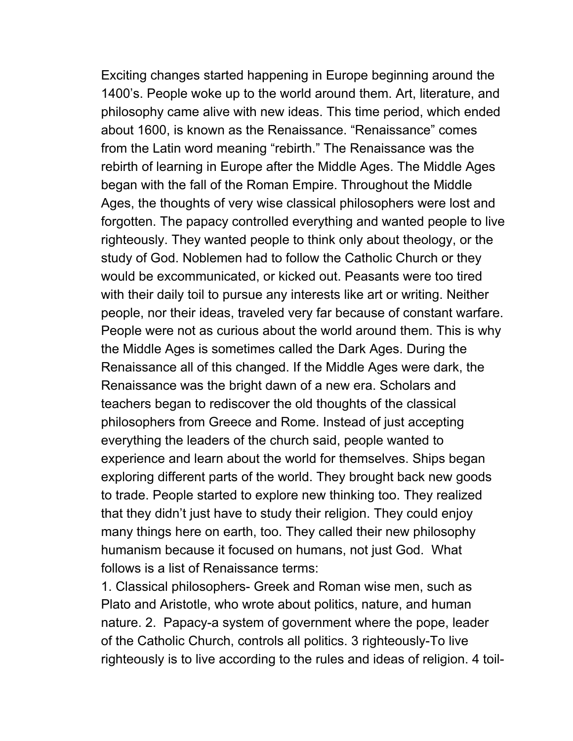Exciting changes started happening in Europe beginning around the 1400's. People woke up to the world around them. Art, literature, and philosophy came alive with new ideas. This time period, which ended about 1600, is known as the Renaissance. "Renaissance" comes from the Latin word meaning "rebirth." The Renaissance was the rebirth of learning in Europe after the Middle Ages. The Middle Ages began with the fall of the Roman Empire. Throughout the Middle Ages, the thoughts of very wise classical philosophers were lost and forgotten. The papacy controlled everything and wanted people to live righteously. They wanted people to think only about theology, or the study of God. Noblemen had to follow the Catholic Church or they would be excommunicated, or kicked out. Peasants were too tired with their daily toil to pursue any interests like art or writing. Neither people, nor their ideas, traveled very far because of constant warfare. People were not as curious about the world around them. This is why the Middle Ages is sometimes called the Dark Ages. During the Renaissance all of this changed. If the Middle Ages were dark, the Renaissance was the bright dawn of a new era. Scholars and teachers began to rediscover the old thoughts of the classical philosophers from Greece and Rome. Instead of just accepting everything the leaders of the church said, people wanted to experience and learn about the world for themselves. Ships began exploring different parts of the world. They brought back new goods to trade. People started to explore new thinking too. They realized that they didn't just have to study their religion. They could enjoy many things here on earth, too. They called their new philosophy humanism because it focused on humans, not just God. What follows is a list of Renaissance terms:

1. Classical philosophers- Greek and Roman wise men, such as Plato and Aristotle, who wrote about politics, nature, and human nature. 2. Papacy-a system of government where the pope, leader of the Catholic Church, controls all politics. 3 righteously-To live righteously is to live according to the rules and ideas of religion. 4 toil-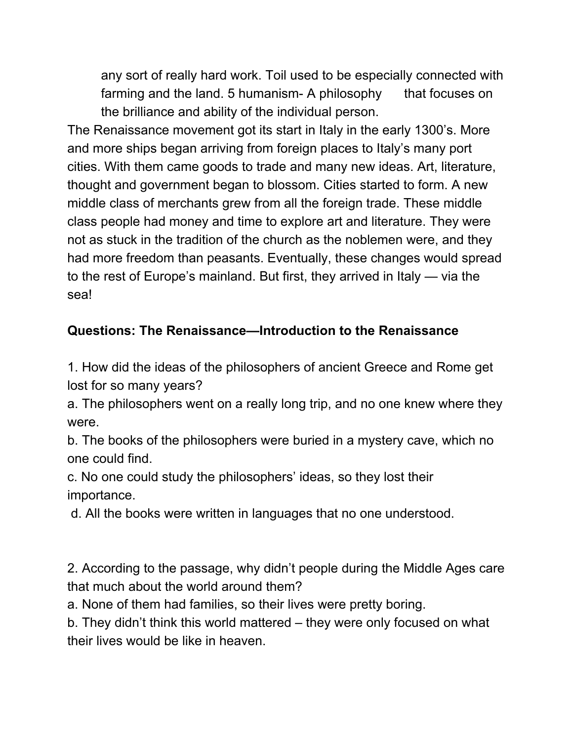any sort of really hard work. Toil used to be especially connected with farming and the land. 5 humanism- A philosophy that focuses on the brilliance and ability of the individual person.

The Renaissance movement got its start in Italy in the early 1300's. More and more ships began arriving from foreign places to Italy's many port cities. With them came goods to trade and many new ideas. Art, literature, thought and government began to blossom. Cities started to form. A new middle class of merchants grew from all the foreign trade. These middle class people had money and time to explore art and literature. They were not as stuck in the tradition of the church as the noblemen were, and they had more freedom than peasants. Eventually, these changes would spread to the rest of Europe's mainland. But first, they arrived in Italy — via the sea!

### **Questions: The Renaissance—Introduction to the Renaissance**

1. How did the ideas of the philosophers of ancient Greece and Rome get lost for so many years?

a. The philosophers went on a really long trip, and no one knew where they were.

b. The books of the philosophers were buried in a mystery cave, which no one could find.

c. No one could study the philosophers' ideas, so they lost their importance.

d. All the books were written in languages that no one understood.

2. According to the passage, why didn't people during the Middle Ages care that much about the world around them?

a. None of them had families, so their lives were pretty boring.

b. They didn't think this world mattered – they were only focused on what their lives would be like in heaven.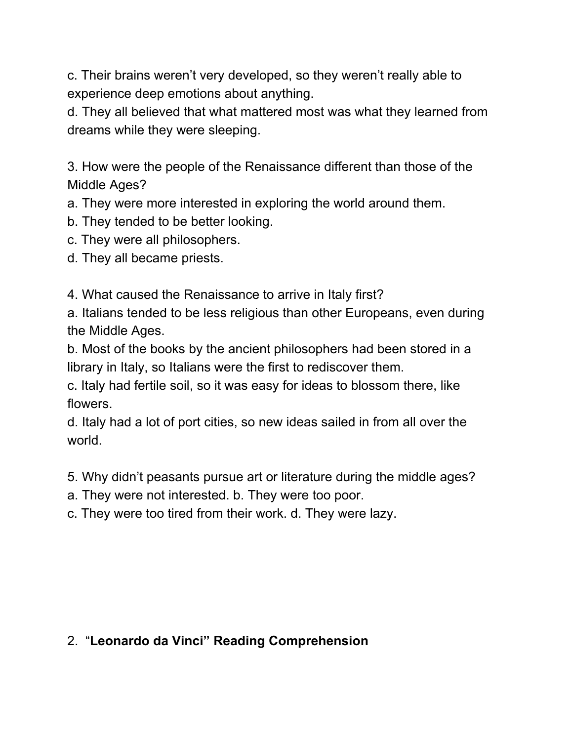c. Their brains weren't very developed, so they weren't really able to experience deep emotions about anything.

d. They all believed that what mattered most was what they learned from dreams while they were sleeping.

3. How were the people of the Renaissance different than those of the Middle Ages?

a. They were more interested in exploring the world around them.

- b. They tended to be better looking.
- c. They were all philosophers.
- d. They all became priests.

4. What caused the Renaissance to arrive in Italy first?

a. Italians tended to be less religious than other Europeans, even during the Middle Ages.

b. Most of the books by the ancient philosophers had been stored in a library in Italy, so Italians were the first to rediscover them.

c. Italy had fertile soil, so it was easy for ideas to blossom there, like flowers.

d. Italy had a lot of port cities, so new ideas sailed in from all over the world.

- 5. Why didn't peasants pursue art or literature during the middle ages?
- a. They were not interested. b. They were too poor.
- c. They were too tired from their work. d. They were lazy.

### 2. "**Leonardo da Vinci" Reading Comprehension**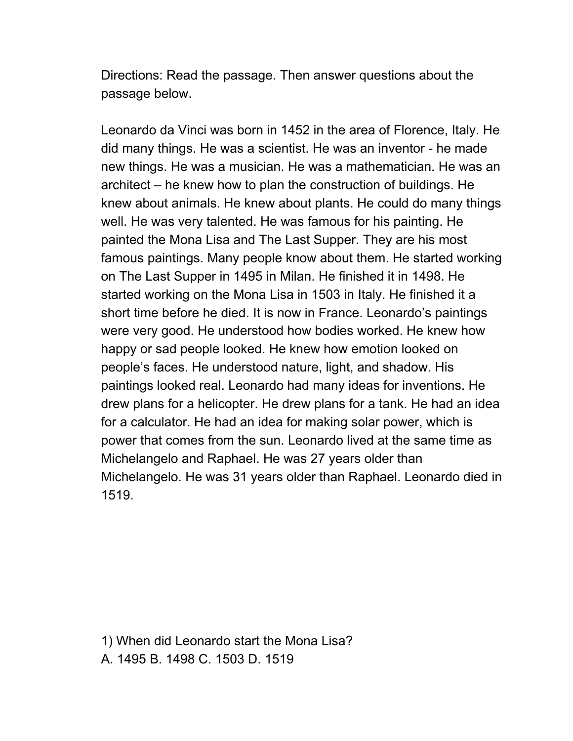Directions: Read the passage. Then answer questions about the passage below.

Leonardo da Vinci was born in 1452 in the area of Florence, Italy. He did many things. He was a scientist. He was an inventor - he made new things. He was a musician. He was a mathematician. He was an architect – he knew how to plan the construction of buildings. He knew about animals. He knew about plants. He could do many things well. He was very talented. He was famous for his painting. He painted the Mona Lisa and The Last Supper. They are his most famous paintings. Many people know about them. He started working on The Last Supper in 1495 in Milan. He finished it in 1498. He started working on the Mona Lisa in 1503 in Italy. He finished it a short time before he died. It is now in France. Leonardo's paintings were very good. He understood how bodies worked. He knew how happy or sad people looked. He knew how emotion looked on people's faces. He understood nature, light, and shadow. His paintings looked real. Leonardo had many ideas for inventions. He drew plans for a helicopter. He drew plans for a tank. He had an idea for a calculator. He had an idea for making solar power, which is power that comes from the sun. Leonardo lived at the same time as Michelangelo and Raphael. He was 27 years older than Michelangelo. He was 31 years older than Raphael. Leonardo died in 1519.

1) When did Leonardo start the Mona Lisa? A. 1495 B. 1498 C. 1503 D. 1519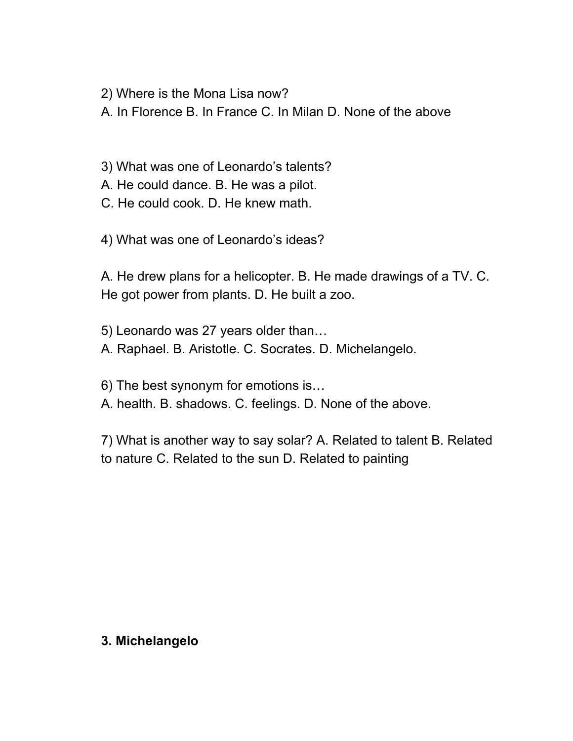2) Where is the Mona Lisa now?

A. In Florence B. In France C. In Milan D. None of the above

3) What was one of Leonardo's talents?

A. He could dance. B. He was a pilot.

C. He could cook. D. He knew math.

4) What was one of Leonardo's ideas?

A. He drew plans for a helicopter. B. He made drawings of a TV. C. He got power from plants. D. He built a zoo.

5) Leonardo was 27 years older than… A. Raphael. B. Aristotle. C. Socrates. D. Michelangelo.

6) The best synonym for emotions is…

A. health. B. shadows. C. feelings. D. None of the above.

7) What is another way to say solar? A. Related to talent B. Related to nature C. Related to the sun D. Related to painting

### **3. Michelangelo**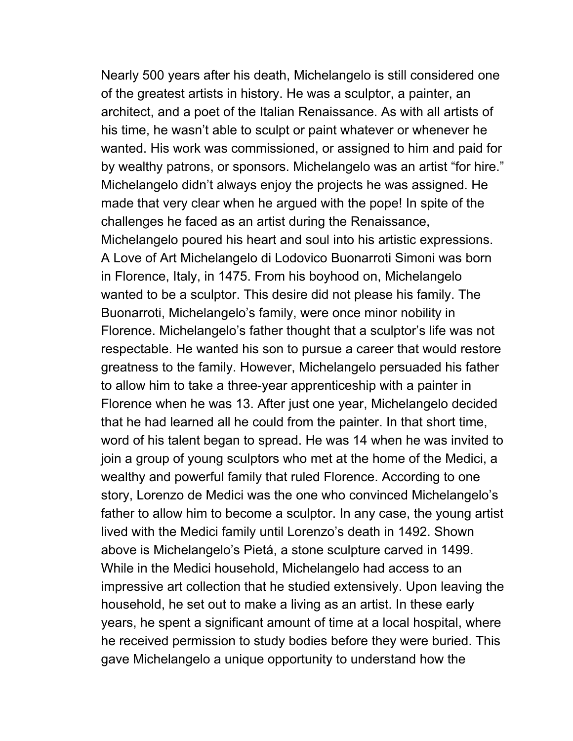Nearly 500 years after his death, Michelangelo is still considered one of the greatest artists in history. He was a sculptor, a painter, an architect, and a poet of the Italian Renaissance. As with all artists of his time, he wasn't able to sculpt or paint whatever or whenever he wanted. His work was commissioned, or assigned to him and paid for by wealthy patrons, or sponsors. Michelangelo was an artist "for hire." Michelangelo didn't always enjoy the projects he was assigned. He made that very clear when he argued with the pope! In spite of the challenges he faced as an artist during the Renaissance, Michelangelo poured his heart and soul into his artistic expressions. A Love of Art Michelangelo di Lodovico Buonarroti Simoni was born in Florence, Italy, in 1475. From his boyhood on, Michelangelo wanted to be a sculptor. This desire did not please his family. The Buonarroti, Michelangelo's family, were once minor nobility in Florence. Michelangelo's father thought that a sculptor's life was not respectable. He wanted his son to pursue a career that would restore greatness to the family. However, Michelangelo persuaded his father to allow him to take a three-year apprenticeship with a painter in Florence when he was 13. After just one year, Michelangelo decided that he had learned all he could from the painter. In that short time, word of his talent began to spread. He was 14 when he was invited to join a group of young sculptors who met at the home of the Medici, a wealthy and powerful family that ruled Florence. According to one story, Lorenzo de Medici was the one who convinced Michelangelo's father to allow him to become a sculptor. In any case, the young artist lived with the Medici family until Lorenzo's death in 1492. Shown above is Michelangelo's Pietá, a stone sculpture carved in 1499. While in the Medici household, Michelangelo had access to an impressive art collection that he studied extensively. Upon leaving the household, he set out to make a living as an artist. In these early years, he spent a significant amount of time at a local hospital, where he received permission to study bodies before they were buried. This gave Michelangelo a unique opportunity to understand how the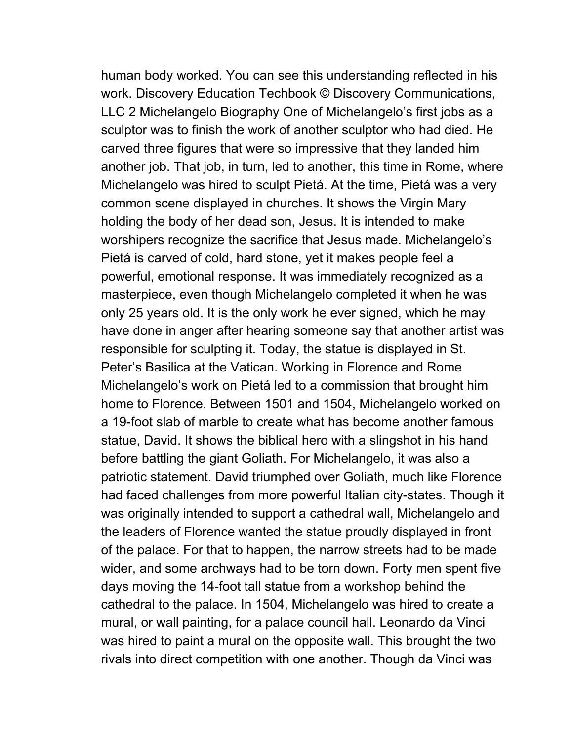human body worked. You can see this understanding reflected in his work. Discovery Education Techbook © Discovery Communications, LLC 2 Michelangelo Biography One of Michelangelo's first jobs as a sculptor was to finish the work of another sculptor who had died. He carved three figures that were so impressive that they landed him another job. That job, in turn, led to another, this time in Rome, where Michelangelo was hired to sculpt Pietá. At the time, Pietá was a very common scene displayed in churches. It shows the Virgin Mary holding the body of her dead son, Jesus. It is intended to make worshipers recognize the sacrifice that Jesus made. Michelangelo's Pietá is carved of cold, hard stone, yet it makes people feel a powerful, emotional response. It was immediately recognized as a masterpiece, even though Michelangelo completed it when he was only 25 years old. It is the only work he ever signed, which he may have done in anger after hearing someone say that another artist was responsible for sculpting it. Today, the statue is displayed in St. Peter's Basilica at the Vatican. Working in Florence and Rome Michelangelo's work on Pietá led to a commission that brought him home to Florence. Between 1501 and 1504, Michelangelo worked on a 19-foot slab of marble to create what has become another famous statue, David. It shows the biblical hero with a slingshot in his hand before battling the giant Goliath. For Michelangelo, it was also a patriotic statement. David triumphed over Goliath, much like Florence had faced challenges from more powerful Italian city-states. Though it was originally intended to support a cathedral wall, Michelangelo and the leaders of Florence wanted the statue proudly displayed in front of the palace. For that to happen, the narrow streets had to be made wider, and some archways had to be torn down. Forty men spent five days moving the 14-foot tall statue from a workshop behind the cathedral to the palace. In 1504, Michelangelo was hired to create a mural, or wall painting, for a palace council hall. Leonardo da Vinci was hired to paint a mural on the opposite wall. This brought the two rivals into direct competition with one another. Though da Vinci was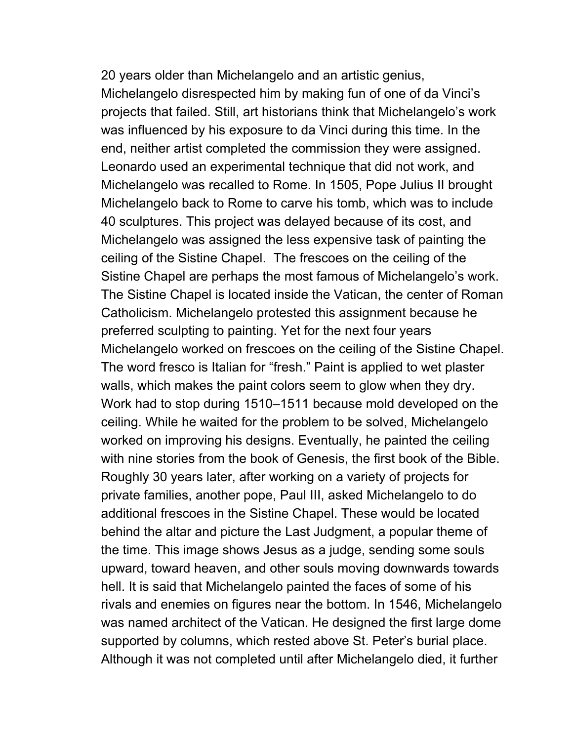20 years older than Michelangelo and an artistic genius, Michelangelo disrespected him by making fun of one of da Vinci's projects that failed. Still, art historians think that Michelangelo's work was influenced by his exposure to da Vinci during this time. In the end, neither artist completed the commission they were assigned. Leonardo used an experimental technique that did not work, and Michelangelo was recalled to Rome. In 1505, Pope Julius II brought Michelangelo back to Rome to carve his tomb, which was to include 40 sculptures. This project was delayed because of its cost, and Michelangelo was assigned the less expensive task of painting the ceiling of the Sistine Chapel. The frescoes on the ceiling of the Sistine Chapel are perhaps the most famous of Michelangelo's work. The Sistine Chapel is located inside the Vatican, the center of Roman Catholicism. Michelangelo protested this assignment because he preferred sculpting to painting. Yet for the next four years Michelangelo worked on frescoes on the ceiling of the Sistine Chapel. The word fresco is Italian for "fresh." Paint is applied to wet plaster walls, which makes the paint colors seem to glow when they dry. Work had to stop during 1510–1511 because mold developed on the ceiling. While he waited for the problem to be solved, Michelangelo worked on improving his designs. Eventually, he painted the ceiling with nine stories from the book of Genesis, the first book of the Bible. Roughly 30 years later, after working on a variety of projects for private families, another pope, Paul III, asked Michelangelo to do additional frescoes in the Sistine Chapel. These would be located behind the altar and picture the Last Judgment, a popular theme of the time. This image shows Jesus as a judge, sending some souls upward, toward heaven, and other souls moving downwards towards hell. It is said that Michelangelo painted the faces of some of his rivals and enemies on figures near the bottom. In 1546, Michelangelo was named architect of the Vatican. He designed the first large dome supported by columns, which rested above St. Peter's burial place. Although it was not completed until after Michelangelo died, it further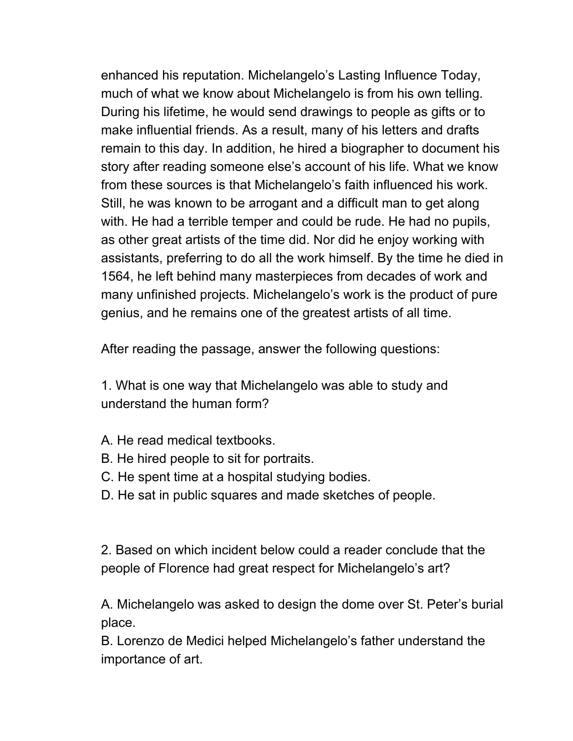enhanced his reputation. Michelangelo's Lasting Influence Today, much of what we know about Michelangelo is from his own telling. During his lifetime, he would send drawings to people as gifts or to make influential friends. As a result, many of his letters and drafts remain to this day. In addition, he hired a biographer to document his story after reading someone else's account of his life. What we know from these sources is that Michelangelo's faith influenced his work. Still, he was known to be arrogant and a difficult man to get along with. He had a terrible temper and could be rude. He had no pupils, as other great artists of the time did. Nor did he enjoy working with assistants, preferring to do all the work himself. By the time he died in 1564, he left behind many masterpieces from decades of work and many unfinished projects. Michelangelo's work is the product of pure genius, and he remains one of the greatest artists of all time.

After reading the passage, answer the following questions:

1. What is one way that Michelangelo was able to study and understand the human form?

- A. He read medical textbooks.
- B. He hired people to sit for portraits.
- C. He spent time at a hospital studying bodies.
- D. He sat in public squares and made sketches of people.

2. Based on which incident below could a reader conclude that the people of Florence had great respect for Michelangelo's art?

A. Michelangelo was asked to design the dome over St. Peter's burial place.

B. Lorenzo de Medici helped Michelangelo's father understand the importance of art.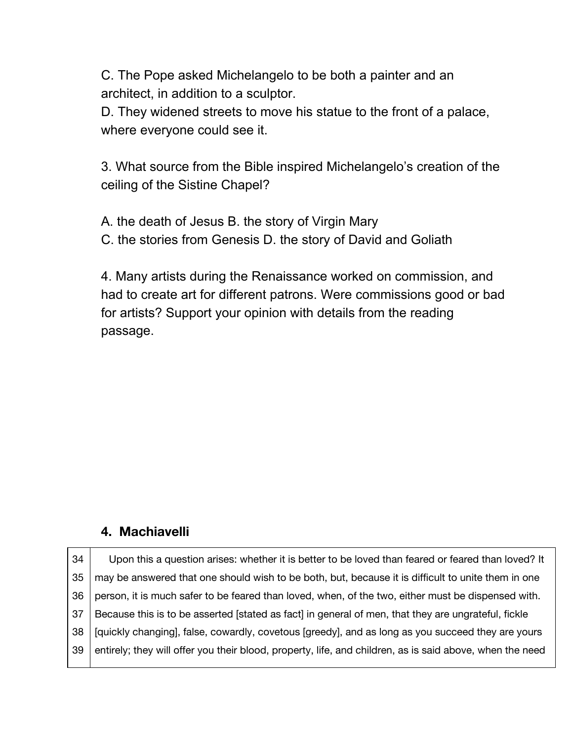C. The Pope asked Michelangelo to be both a painter and an architect, in addition to a sculptor.

D. They widened streets to move his statue to the front of a palace, where everyone could see it.

3. What source from the Bible inspired Michelangelo's creation of the ceiling of the Sistine Chapel?

A. the death of Jesus B. the story of Virgin Mary C. the stories from Genesis D. the story of David and Goliath

4. Many artists during the Renaissance worked on commission, and had to create art for different patrons. Were commissions good or bad for artists? Support your opinion with details from the reading passage.

### **4. Machiavelli**

| 34  | Upon this a question arises: whether it is better to be loved than feared or feared than loved? It       |
|-----|----------------------------------------------------------------------------------------------------------|
| 35  | may be answered that one should wish to be both, but, because it is difficult to unite them in one       |
| 36  | person, it is much safer to be feared than loved, when, of the two, either must be dispensed with.       |
| -37 | Because this is to be asserted [stated as fact] in general of men, that they are ungrateful, fickle      |
| -38 | [quickly changing], false, cowardly, covetous [greedy], and as long as you succeed they are yours        |
| 39  | entirely; they will offer you their blood, property, life, and children, as is said above, when the need |
|     |                                                                                                          |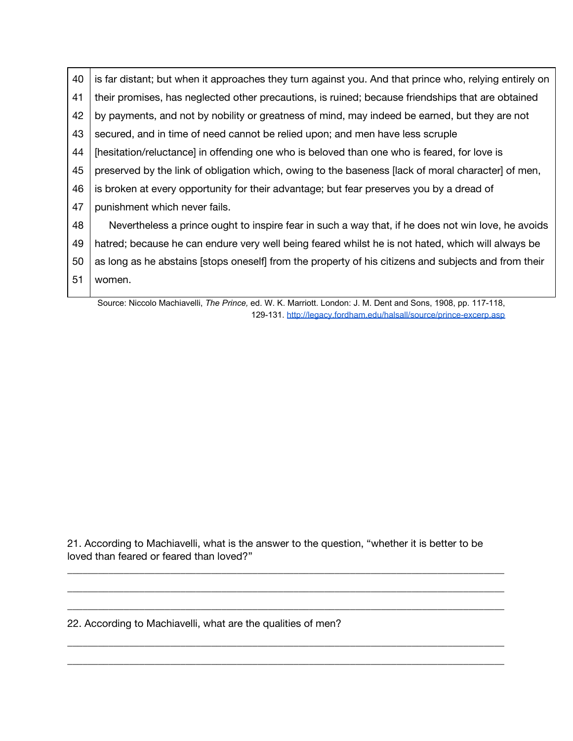40 41 42 43 44 45 46 47 48 49 50 51 is far distant; but when it approaches they turn against you. And that prince who, relying entirely on their promises, has neglected other precautions, is ruined; because friendships that are obtained by payments, and not by nobility or greatness of mind, may indeed be earned, but they are not secured, and in time of need cannot be relied upon; and men have less scruple [hesitation/reluctance] in offending one who is beloved than one who is feared, for love is preserved by the link of obligation which, owing to the baseness [lack of moral character] of men, is broken at every opportunity for their advantage; but fear preserves you by a dread of punishment which never fails. Nevertheless a prince ought to inspire fear in such a way that, if he does not win love, he avoids hatred; because he can endure very well being feared whilst he is not hated, which will always be as long as he abstains [stops oneself] from the property of his citizens and subjects and from their women.

Source: Niccolo Machiavelli, *The Prince,* ed. W. K. Marriott. London: J. M. Dent and Sons, 1908, pp. 117-118, 129-131. <http://legacy.fordham.edu/halsall/source/prince-excerp.asp>

21. According to Machiavelli, what is the answer to the question, "whether it is better to be loved than feared or feared than loved?"

\_\_\_\_\_\_\_\_\_\_\_\_\_\_\_\_\_\_\_\_\_\_\_\_\_\_\_\_\_\_\_\_\_\_\_\_\_\_\_\_\_\_\_\_\_\_\_\_\_\_\_\_\_\_\_\_\_\_\_\_\_\_\_\_\_\_\_\_\_\_\_\_\_\_\_\_\_\_\_\_\_\_\_\_\_ \_\_\_\_\_\_\_\_\_\_\_\_\_\_\_\_\_\_\_\_\_\_\_\_\_\_\_\_\_\_\_\_\_\_\_\_\_\_\_\_\_\_\_\_\_\_\_\_\_\_\_\_\_\_\_\_\_\_\_\_\_\_\_\_\_\_\_\_\_\_\_\_\_\_\_\_\_\_\_\_\_\_\_\_\_ \_\_\_\_\_\_\_\_\_\_\_\_\_\_\_\_\_\_\_\_\_\_\_\_\_\_\_\_\_\_\_\_\_\_\_\_\_\_\_\_\_\_\_\_\_\_\_\_\_\_\_\_\_\_\_\_\_\_\_\_\_\_\_\_\_\_\_\_\_\_\_\_\_\_\_\_\_\_\_\_\_\_\_\_\_

\_\_\_\_\_\_\_\_\_\_\_\_\_\_\_\_\_\_\_\_\_\_\_\_\_\_\_\_\_\_\_\_\_\_\_\_\_\_\_\_\_\_\_\_\_\_\_\_\_\_\_\_\_\_\_\_\_\_\_\_\_\_\_\_\_\_\_\_\_\_\_\_\_\_\_\_\_\_\_\_\_\_\_\_\_ \_\_\_\_\_\_\_\_\_\_\_\_\_\_\_\_\_\_\_\_\_\_\_\_\_\_\_\_\_\_\_\_\_\_\_\_\_\_\_\_\_\_\_\_\_\_\_\_\_\_\_\_\_\_\_\_\_\_\_\_\_\_\_\_\_\_\_\_\_\_\_\_\_\_\_\_\_\_\_\_\_\_\_\_\_

22. According to Machiavelli, what are the qualities of men?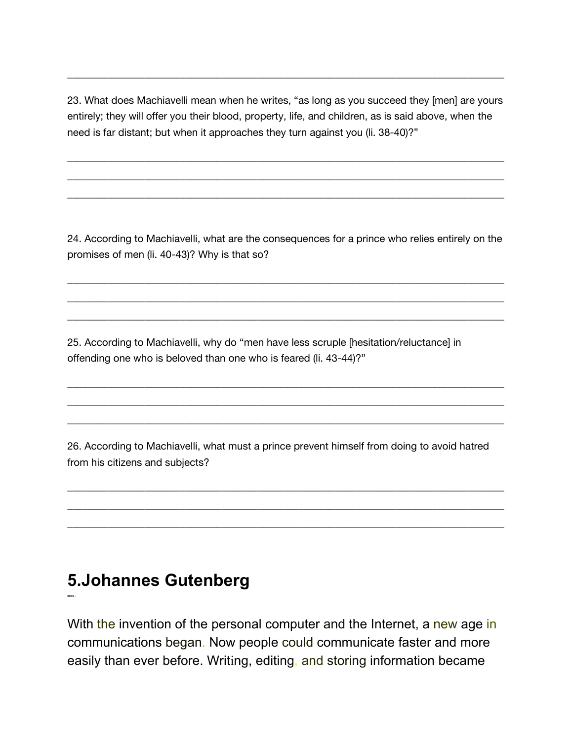23. What does Machiavelli mean when he writes, "as long as you succeed they [men] are yours entirely; they will offer you their blood, property, life, and children, as is said above, when the need is far distant; but when it approaches they turn against you (li. 38-40)?"

\_\_\_\_\_\_\_\_\_\_\_\_\_\_\_\_\_\_\_\_\_\_\_\_\_\_\_\_\_\_\_\_\_\_\_\_\_\_\_\_\_\_\_\_\_\_\_\_\_\_\_\_\_\_\_\_\_\_\_\_\_\_\_\_\_\_\_\_\_\_\_\_\_\_\_\_\_\_\_\_\_\_\_\_\_ \_\_\_\_\_\_\_\_\_\_\_\_\_\_\_\_\_\_\_\_\_\_\_\_\_\_\_\_\_\_\_\_\_\_\_\_\_\_\_\_\_\_\_\_\_\_\_\_\_\_\_\_\_\_\_\_\_\_\_\_\_\_\_\_\_\_\_\_\_\_\_\_\_\_\_\_\_\_\_\_\_\_\_\_\_ \_\_\_\_\_\_\_\_\_\_\_\_\_\_\_\_\_\_\_\_\_\_\_\_\_\_\_\_\_\_\_\_\_\_\_\_\_\_\_\_\_\_\_\_\_\_\_\_\_\_\_\_\_\_\_\_\_\_\_\_\_\_\_\_\_\_\_\_\_\_\_\_\_\_\_\_\_\_\_\_\_\_\_\_\_

\_\_\_\_\_\_\_\_\_\_\_\_\_\_\_\_\_\_\_\_\_\_\_\_\_\_\_\_\_\_\_\_\_\_\_\_\_\_\_\_\_\_\_\_\_\_\_\_\_\_\_\_\_\_\_\_\_\_\_\_\_\_\_\_\_\_\_\_\_\_\_\_\_\_\_\_\_\_\_\_\_\_\_\_\_

24. According to Machiavelli, what are the consequences for a prince who relies entirely on the promises of men (li. 40-43)? Why is that so?

\_\_\_\_\_\_\_\_\_\_\_\_\_\_\_\_\_\_\_\_\_\_\_\_\_\_\_\_\_\_\_\_\_\_\_\_\_\_\_\_\_\_\_\_\_\_\_\_\_\_\_\_\_\_\_\_\_\_\_\_\_\_\_\_\_\_\_\_\_\_\_\_\_\_\_\_\_\_\_\_\_\_\_\_\_ \_\_\_\_\_\_\_\_\_\_\_\_\_\_\_\_\_\_\_\_\_\_\_\_\_\_\_\_\_\_\_\_\_\_\_\_\_\_\_\_\_\_\_\_\_\_\_\_\_\_\_\_\_\_\_\_\_\_\_\_\_\_\_\_\_\_\_\_\_\_\_\_\_\_\_\_\_\_\_\_\_\_\_\_\_ \_\_\_\_\_\_\_\_\_\_\_\_\_\_\_\_\_\_\_\_\_\_\_\_\_\_\_\_\_\_\_\_\_\_\_\_\_\_\_\_\_\_\_\_\_\_\_\_\_\_\_\_\_\_\_\_\_\_\_\_\_\_\_\_\_\_\_\_\_\_\_\_\_\_\_\_\_\_\_\_\_\_\_\_\_

\_\_\_\_\_\_\_\_\_\_\_\_\_\_\_\_\_\_\_\_\_\_\_\_\_\_\_\_\_\_\_\_\_\_\_\_\_\_\_\_\_\_\_\_\_\_\_\_\_\_\_\_\_\_\_\_\_\_\_\_\_\_\_\_\_\_\_\_\_\_\_\_\_\_\_\_\_\_\_\_\_\_\_\_\_ \_\_\_\_\_\_\_\_\_\_\_\_\_\_\_\_\_\_\_\_\_\_\_\_\_\_\_\_\_\_\_\_\_\_\_\_\_\_\_\_\_\_\_\_\_\_\_\_\_\_\_\_\_\_\_\_\_\_\_\_\_\_\_\_\_\_\_\_\_\_\_\_\_\_\_\_\_\_\_\_\_\_\_\_\_ \_\_\_\_\_\_\_\_\_\_\_\_\_\_\_\_\_\_\_\_\_\_\_\_\_\_\_\_\_\_\_\_\_\_\_\_\_\_\_\_\_\_\_\_\_\_\_\_\_\_\_\_\_\_\_\_\_\_\_\_\_\_\_\_\_\_\_\_\_\_\_\_\_\_\_\_\_\_\_\_\_\_\_\_\_

25. According to Machiavelli, why do "men have less scruple [hesitation/reluctance] in offending one who is beloved than one who is feared (li. 43-44)?"

26. According to Machiavelli, what must a prince prevent himself from doing to avoid hatred from his citizens and subjects?

\_\_\_\_\_\_\_\_\_\_\_\_\_\_\_\_\_\_\_\_\_\_\_\_\_\_\_\_\_\_\_\_\_\_\_\_\_\_\_\_\_\_\_\_\_\_\_\_\_\_\_\_\_\_\_\_\_\_\_\_\_\_\_\_\_\_\_\_\_\_\_\_\_\_\_\_\_\_\_\_\_\_\_\_\_ \_\_\_\_\_\_\_\_\_\_\_\_\_\_\_\_\_\_\_\_\_\_\_\_\_\_\_\_\_\_\_\_\_\_\_\_\_\_\_\_\_\_\_\_\_\_\_\_\_\_\_\_\_\_\_\_\_\_\_\_\_\_\_\_\_\_\_\_\_\_\_\_\_\_\_\_\_\_\_\_\_\_\_\_\_ \_\_\_\_\_\_\_\_\_\_\_\_\_\_\_\_\_\_\_\_\_\_\_\_\_\_\_\_\_\_\_\_\_\_\_\_\_\_\_\_\_\_\_\_\_\_\_\_\_\_\_\_\_\_\_\_\_\_\_\_\_\_\_\_\_\_\_\_\_\_\_\_\_\_\_\_\_\_\_\_\_\_\_\_\_

## **5.Johannes Gutenberg**

**OOOO ..**

With the invention of the personal computer and the Internet, a new age in communications began. Now people could communicate faster and more easily than ever before. Writing, editing, and storing information became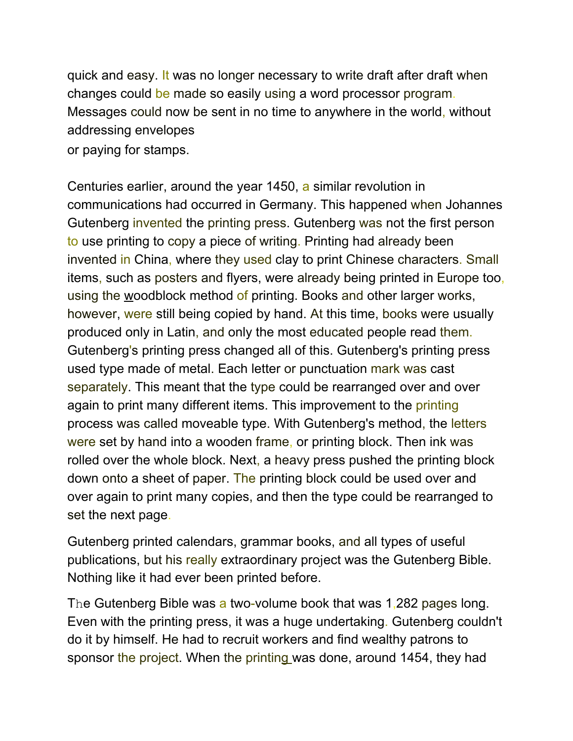quick and easy. It was no longer necessary to write draft after draft when changes could be made so easily using a word processor program. Messages could now be sent in no time to anywhere in the world, without addressing envelopes

or paying for stamps.

Centuries earlier, around the year 1450, a similar revolution in communications had occurred in Germany. This happened when Johannes Gutenberg invented the printing press. Gutenberg was not the first person to use printing to copy a piece of writing. Printing had already been invented in China, where they used clay to print Chinese characters. Small items, such as posters and flyers, were already being printed in Europe too, using the woodblock method of printing. Books and other larger works, however, were still being copied by hand. At this time, books were usually produced only in Latin, and only the most educated people read them. Gutenberg's printing press changed all of this. Gutenberg's printing press used type made of metal. Each letter or punctuation mark was cast separately. This meant that the type could be rearranged over and over again to print many different items. This improvement to the printing process was called moveable type. With Gutenberg's method, the letters were set by hand into a wooden frame, or printing block. Then ink was rolled over the whole block. Next, a heavy press pushed the printing block down onto a sheet of paper. The printing block could be used over and over again to print many copies, and then the type could be rearranged to set the next page.

Gutenberg printed calendars, grammar books, and all types of useful publications, but his really extraordinary project was the Gutenberg Bible. Nothing like it had ever been printed before.

The Gutenberg Bible was a two-volume book that was 1,282 pages long. Even with the printing press, it was a huge undertaking. Gutenberg couldn't do it by himself. He had to recruit workers and find wealthy patrons to sponsor the project. When the printing was done, around 1454, they had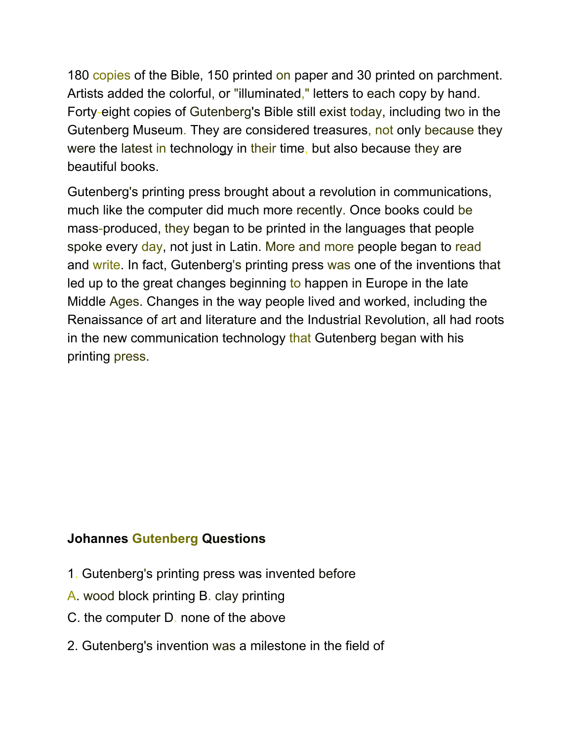180 copies of the Bible, 150 printed on paper and 30 printed on parchment. Artists added the colorful, or "illuminated," letters to each copy by hand. Forty-eight copies of Gutenberg's Bible still exist today, including two in the Gutenberg Museum. They are considered treasures, not only because they were the latest in technology in their time, but also because they are beautiful books.

Gutenberg's printing press brought about a revolution in communications, much like the computer did much more recently. Once books could be mass-produced, they began to be printed in the languages that people spoke every day, not just in Latin. More and more people began to read and write. In fact, Gutenberg's printing press was one of the inventions that led up to the great changes beginning to happen in Europe in the late Middle Ages. Changes in the way people lived and worked, including the Renaissance of art and literature and the Industrial Revolution, all had roots in the new communication technology that Gutenberg began with his printing press.

### **Johannes Gutenberg Questions**

- 1. Gutenberg's printing press was invented before
- A. wood block printing B. clay printing
- C. the computer D. none of the above
- 2. Gutenberg's invention was a milestone in the field of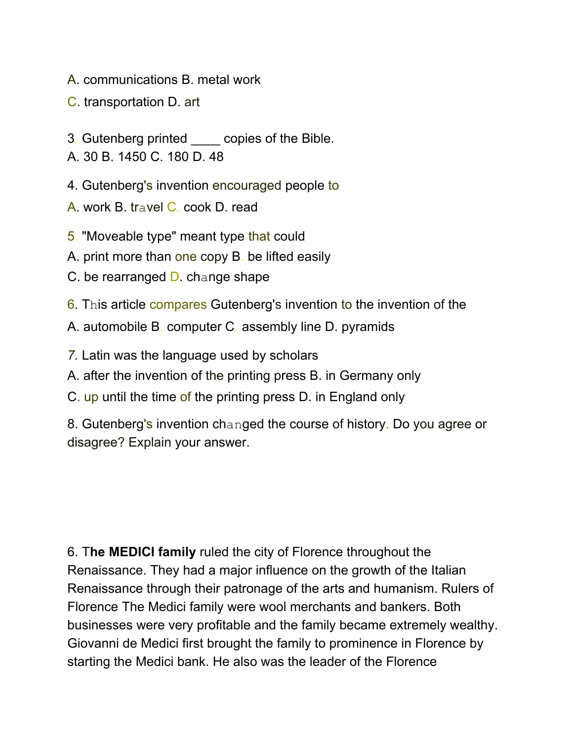A. communications B. metal work

C. transportation D. art

- 3. Gutenberg printed \_\_\_\_ copies of the Bible.
- A. 30 B. 1450 C. 180 D. 48
- 4. Gutenberg's invention encouraged people to
- A. work B. travel C. cook D. read
- 5. "Moveable type" meant type that could
- A. print more than one copy B. be lifted easily
- C. be rearranged D. change shape
- 6. This article compares Gutenberg's invention to the invention of the
- A. automobile B. computer C. assembly line D. pyramids
- *7.* Latin was the language used by scholars
- A. after the invention of the printing press B. in Germany only
- C. up until the time of the printing press D. in England only

8. Gutenberg's invention changed the course of history. Do you agree or disagree? Explain your answer.

6. T**he MEDICI family** ruled the city of Florence throughout the Renaissance. They had a major influence on the growth of the Italian Renaissance through their patronage of the arts and humanism. Rulers of Florence The Medici family were wool merchants and bankers. Both businesses were very profitable and the family became extremely wealthy. Giovanni de Medici first brought the family to prominence in Florence by starting the Medici bank. He also was the leader of the Florence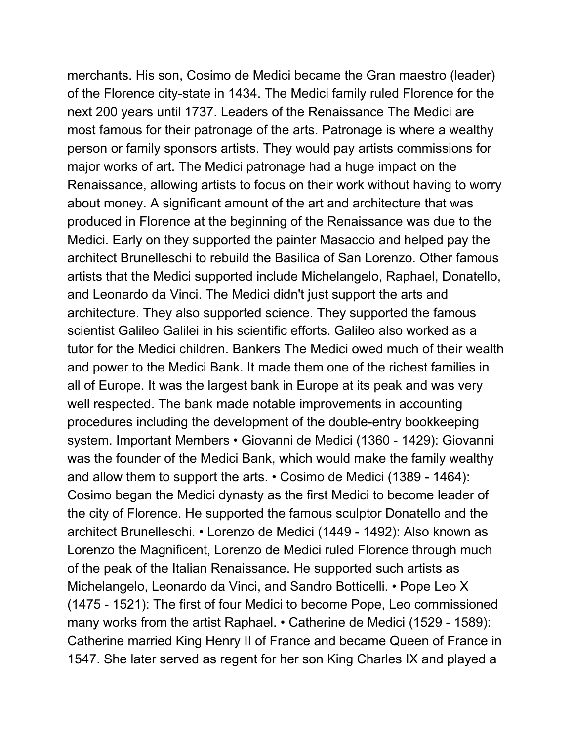merchants. His son, Cosimo de Medici became the Gran maestro (leader) of the Florence city-state in 1434. The Medici family ruled Florence for the next 200 years until 1737. Leaders of the Renaissance The Medici are most famous for their patronage of the arts. Patronage is where a wealthy person or family sponsors artists. They would pay artists commissions for major works of art. The Medici patronage had a huge impact on the Renaissance, allowing artists to focus on their work without having to worry about money. A significant amount of the art and architecture that was produced in Florence at the beginning of the Renaissance was due to the Medici. Early on they supported the painter Masaccio and helped pay the architect Brunelleschi to rebuild the Basilica of San Lorenzo. Other famous artists that the Medici supported include Michelangelo, Raphael, Donatello, and Leonardo da Vinci. The Medici didn't just support the arts and architecture. They also supported science. They supported the famous scientist Galileo Galilei in his scientific efforts. Galileo also worked as a tutor for the Medici children. Bankers The Medici owed much of their wealth and power to the Medici Bank. It made them one of the richest families in all of Europe. It was the largest bank in Europe at its peak and was very well respected. The bank made notable improvements in accounting procedures including the development of the double-entry bookkeeping system. Important Members • Giovanni de Medici (1360 - 1429): Giovanni was the founder of the Medici Bank, which would make the family wealthy and allow them to support the arts. • Cosimo de Medici (1389 - 1464): Cosimo began the Medici dynasty as the first Medici to become leader of the city of Florence. He supported the famous sculptor Donatello and the architect Brunelleschi. • Lorenzo de Medici (1449 - 1492): Also known as Lorenzo the Magnificent, Lorenzo de Medici ruled Florence through much of the peak of the Italian Renaissance. He supported such artists as Michelangelo, Leonardo da Vinci, and Sandro Botticelli. • Pope Leo X (1475 - 1521): The first of four Medici to become Pope, Leo commissioned many works from the artist Raphael. • Catherine de Medici (1529 - 1589): Catherine married King Henry II of France and became Queen of France in 1547. She later served as regent for her son King Charles IX and played a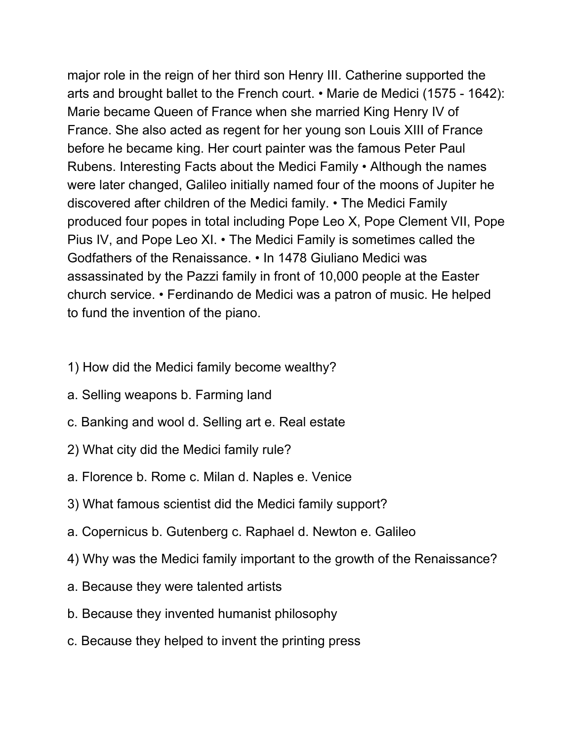major role in the reign of her third son Henry III. Catherine supported the arts and brought ballet to the French court. • Marie de Medici (1575 - 1642): Marie became Queen of France when she married King Henry IV of France. She also acted as regent for her young son Louis XIII of France before he became king. Her court painter was the famous Peter Paul Rubens. Interesting Facts about the Medici Family • Although the names were later changed, Galileo initially named four of the moons of Jupiter he discovered after children of the Medici family. • The Medici Family produced four popes in total including Pope Leo X, Pope Clement VII, Pope Pius IV, and Pope Leo XI. • The Medici Family is sometimes called the Godfathers of the Renaissance. • In 1478 Giuliano Medici was assassinated by the Pazzi family in front of 10,000 people at the Easter church service. • Ferdinando de Medici was a patron of music. He helped to fund the invention of the piano.

- 1) How did the Medici family become wealthy?
- a. Selling weapons b. Farming land
- c. Banking and wool d. Selling art e. Real estate
- 2) What city did the Medici family rule?
- a. Florence b. Rome c. Milan d. Naples e. Venice
- 3) What famous scientist did the Medici family support?
- a. Copernicus b. Gutenberg c. Raphael d. Newton e. Galileo
- 4) Why was the Medici family important to the growth of the Renaissance?
- a. Because they were talented artists
- b. Because they invented humanist philosophy
- c. Because they helped to invent the printing press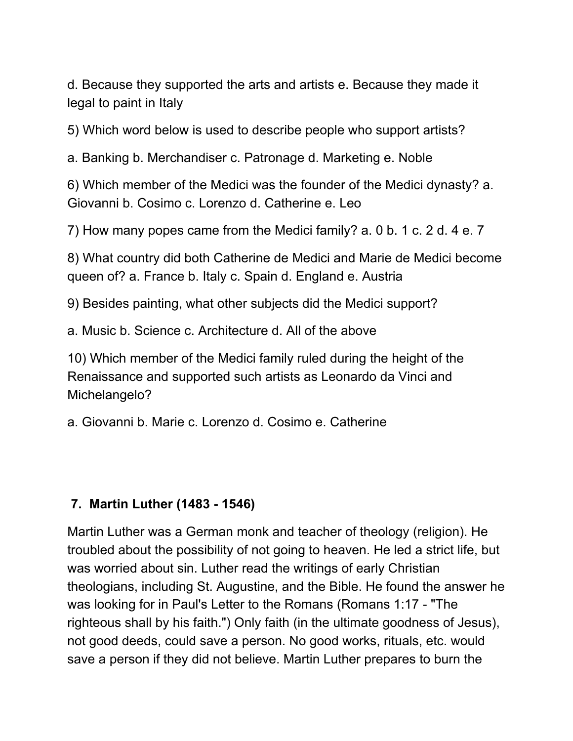d. Because they supported the arts and artists e. Because they made it legal to paint in Italy

5) Which word below is used to describe people who support artists?

a. Banking b. Merchandiser c. Patronage d. Marketing e. Noble

6) Which member of the Medici was the founder of the Medici dynasty? a. Giovanni b. Cosimo c. Lorenzo d. Catherine e. Leo

7) How many popes came from the Medici family? a. 0 b. 1 c. 2 d. 4 e. 7

8) What country did both Catherine de Medici and Marie de Medici become queen of? a. France b. Italy c. Spain d. England e. Austria

9) Besides painting, what other subjects did the Medici support?

a. Music b. Science c. Architecture d. All of the above

10) Which member of the Medici family ruled during the height of the Renaissance and supported such artists as Leonardo da Vinci and Michelangelo?

a. Giovanni b. Marie c. Lorenzo d. Cosimo e. Catherine

### **7. Martin Luther (1483 - 1546)**

Martin Luther was a German monk and teacher of theology (religion). He troubled about the possibility of not going to heaven. He led a strict life, but was worried about sin. Luther read the writings of early Christian theologians, including St. Augustine, and the Bible. He found the answer he was looking for in Paul's Letter to the Romans (Romans 1:17 - "The righteous shall by his faith.") Only faith (in the ultimate goodness of Jesus), not good deeds, could save a person. No good works, rituals, etc. would save a person if they did not believe. Martin Luther prepares to burn the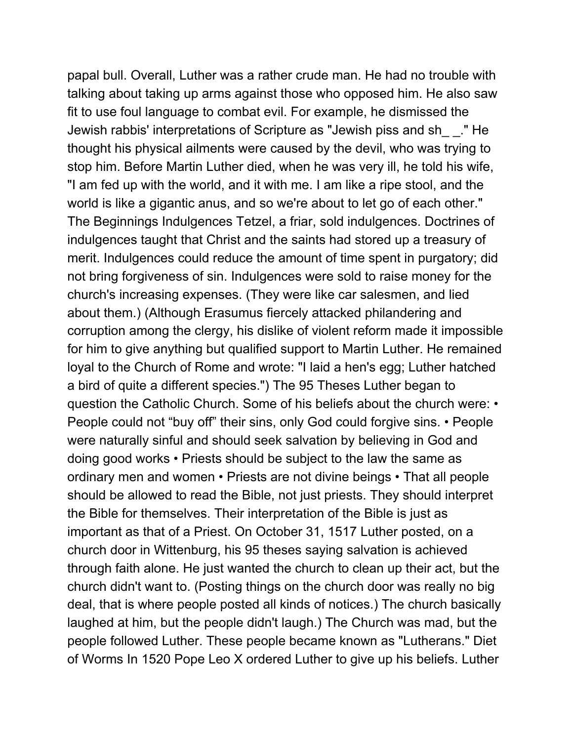papal bull. Overall, Luther was a rather crude man. He had no trouble with talking about taking up arms against those who opposed him. He also saw fit to use foul language to combat evil. For example, he dismissed the Jewish rabbis' interpretations of Scripture as "Jewish piss and sh\_ \_." He thought his physical ailments were caused by the devil, who was trying to stop him. Before Martin Luther died, when he was very ill, he told his wife, "I am fed up with the world, and it with me. I am like a ripe stool, and the world is like a gigantic anus, and so we're about to let go of each other." The Beginnings Indulgences Tetzel, a friar, sold indulgences. Doctrines of indulgences taught that Christ and the saints had stored up a treasury of merit. Indulgences could reduce the amount of time spent in purgatory; did not bring forgiveness of sin. Indulgences were sold to raise money for the church's increasing expenses. (They were like car salesmen, and lied about them.) (Although Erasumus fiercely attacked philandering and corruption among the clergy, his dislike of violent reform made it impossible for him to give anything but qualified support to Martin Luther. He remained loyal to the Church of Rome and wrote: "I laid a hen's egg; Luther hatched a bird of quite a different species.") The 95 Theses Luther began to question the Catholic Church. Some of his beliefs about the church were: • People could not "buy off" their sins, only God could forgive sins. • People were naturally sinful and should seek salvation by believing in God and doing good works • Priests should be subject to the law the same as ordinary men and women • Priests are not divine beings • That all people should be allowed to read the Bible, not just priests. They should interpret the Bible for themselves. Their interpretation of the Bible is just as important as that of a Priest. On October 31, 1517 Luther posted, on a church door in Wittenburg, his 95 theses saying salvation is achieved through faith alone. He just wanted the church to clean up their act, but the church didn't want to. (Posting things on the church door was really no big deal, that is where people posted all kinds of notices.) The church basically laughed at him, but the people didn't laugh.) The Church was mad, but the people followed Luther. These people became known as "Lutherans." Diet of Worms In 1520 Pope Leo X ordered Luther to give up his beliefs. Luther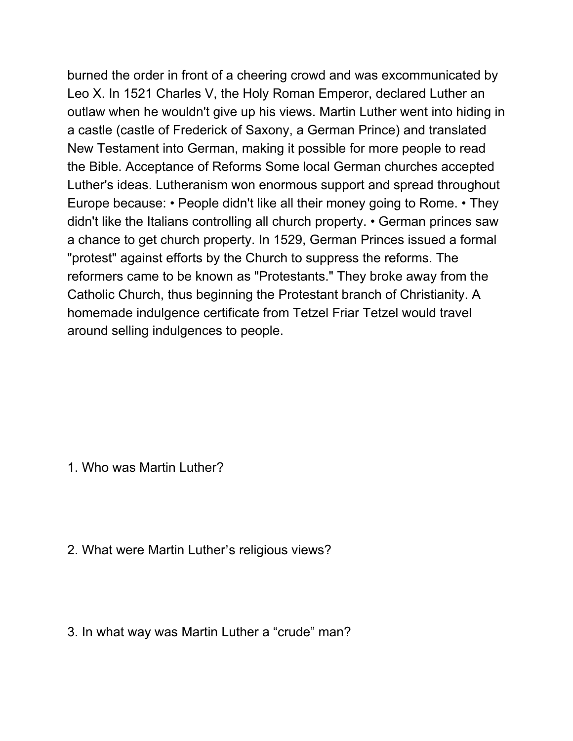burned the order in front of a cheering crowd and was excommunicated by Leo X. In 1521 Charles V, the Holy Roman Emperor, declared Luther an outlaw when he wouldn't give up his views. Martin Luther went into hiding in a castle (castle of Frederick of Saxony, a German Prince) and translated New Testament into German, making it possible for more people to read the Bible. Acceptance of Reforms Some local German churches accepted Luther's ideas. Lutheranism won enormous support and spread throughout Europe because: • People didn't like all their money going to Rome. • They didn't like the Italians controlling all church property. • German princes saw a chance to get church property. In 1529, German Princes issued a formal "protest" against efforts by the Church to suppress the reforms. The reformers came to be known as "Protestants." They broke away from the Catholic Church, thus beginning the Protestant branch of Christianity. A homemade indulgence certificate from Tetzel Friar Tetzel would travel around selling indulgences to people.

1. Who was Martin Luther?

2. What were Martin Luther's religious views?

3. In what way was Martin Luther a "crude" man?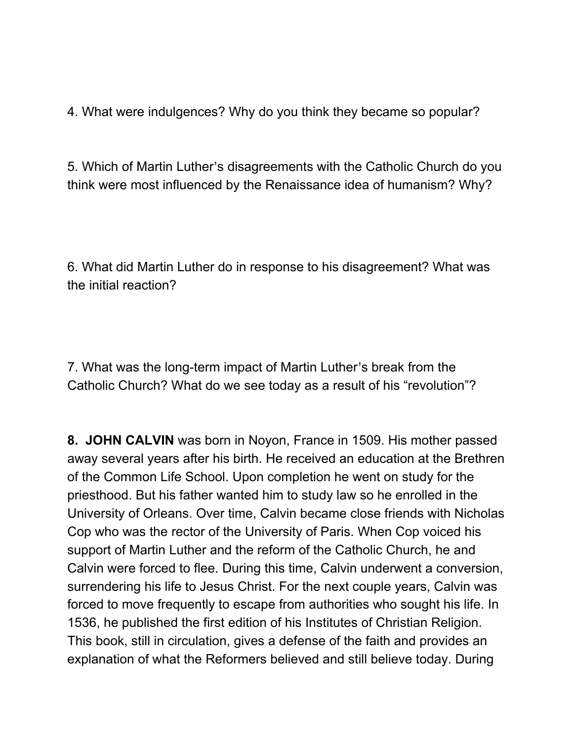4. What were indulgences? Why do you think they became so popular?

5. Which of Martin Luther's disagreements with the Catholic Church do you think were most influenced by the Renaissance idea of humanism? Why?

6. What did Martin Luther do in response to his disagreement? What was the initial reaction?

7. What was the long-term impact of Martin Luther's break from the Catholic Church? What do we see today as a result of his "revolution"?

**8. JOHN CALVIN** was born in Noyon, France in 1509. His mother passed away several years after his birth. He received an education at the Brethren of the Common Life School. Upon completion he went on study for the priesthood. But his father wanted him to study law so he enrolled in the University of Orleans. Over time, Calvin became close friends with Nicholas Cop who was the rector of the University of Paris. When Cop voiced his support of Martin Luther and the reform of the Catholic Church, he and Calvin were forced to flee. During this time, Calvin underwent a conversion, surrendering his life to Jesus Christ. For the next couple years, Calvin was forced to move frequently to escape from authorities who sought his life. In 1536, he published the first edition of his Institutes of Christian Religion. This book, still in circulation, gives a defense of the faith and provides an explanation of what the Reformers believed and still believe today. During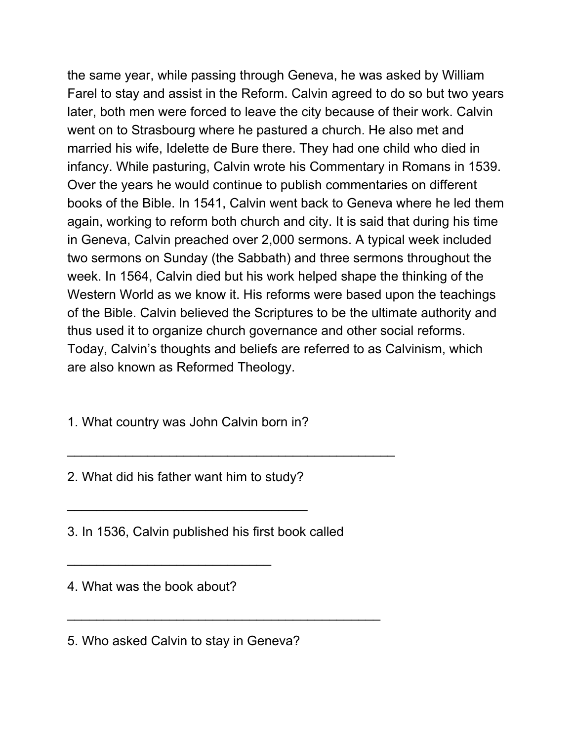the same year, while passing through Geneva, he was asked by William Farel to stay and assist in the Reform. Calvin agreed to do so but two years later, both men were forced to leave the city because of their work. Calvin went on to Strasbourg where he pastured a church. He also met and married his wife, Idelette de Bure there. They had one child who died in infancy. While pasturing, Calvin wrote his Commentary in Romans in 1539. Over the years he would continue to publish commentaries on different books of the Bible. In 1541, Calvin went back to Geneva where he led them again, working to reform both church and city. It is said that during his time in Geneva, Calvin preached over 2,000 sermons. A typical week included two sermons on Sunday (the Sabbath) and three sermons throughout the week. In 1564, Calvin died but his work helped shape the thinking of the Western World as we know it. His reforms were based upon the teachings of the Bible. Calvin believed the Scriptures to be the ultimate authority and thus used it to organize church governance and other social reforms. Today, Calvin's thoughts and beliefs are referred to as Calvinism, which are also known as Reformed Theology.

1. What country was John Calvin born in?

2. What did his father want him to study?

\_\_\_\_\_\_\_\_\_\_\_\_\_\_\_\_\_\_\_\_\_\_\_\_\_\_\_\_\_\_\_\_\_

3. In 1536, Calvin published his first book called

\_\_\_\_\_\_\_\_\_\_\_\_\_\_\_\_\_\_\_\_\_\_\_\_\_\_\_\_\_\_\_\_\_\_\_\_\_\_\_\_\_\_\_

 $\overline{\phantom{a}}$  , and the contribution of the contribution of  $\overline{\phantom{a}}$ 

4. What was the book about?

\_\_\_\_\_\_\_\_\_\_\_\_\_\_\_\_\_\_\_\_\_\_\_\_\_\_\_\_

5. Who asked Calvin to stay in Geneva?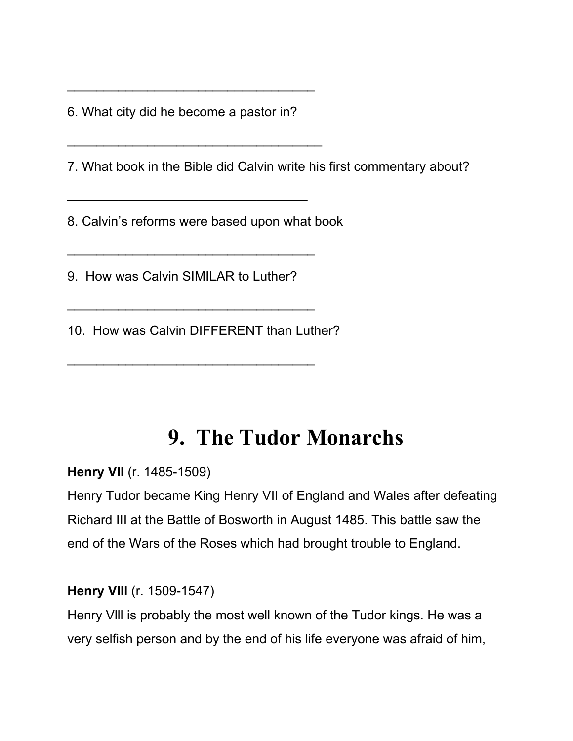6. What city did he become a pastor in?

\_\_\_\_\_\_\_\_\_\_\_\_\_\_\_\_\_\_\_\_\_\_\_\_\_\_\_\_\_\_\_\_\_\_

\_\_\_\_\_\_\_\_\_\_\_\_\_\_\_\_\_\_\_\_\_\_\_\_\_\_\_\_\_\_\_\_\_\_\_

\_\_\_\_\_\_\_\_\_\_\_\_\_\_\_\_\_\_\_\_\_\_\_\_\_\_\_\_\_\_\_\_\_

7. What book in the Bible did Calvin write his first commentary about?

8. Calvin's reforms were based upon what book

9. How was Calvin SIMILAR to Luther?

\_\_\_\_\_\_\_\_\_\_\_\_\_\_\_\_\_\_\_\_\_\_\_\_\_\_\_\_\_\_\_\_\_\_

\_\_\_\_\_\_\_\_\_\_\_\_\_\_\_\_\_\_\_\_\_\_\_\_\_\_\_\_\_\_\_\_\_\_

\_\_\_\_\_\_\_\_\_\_\_\_\_\_\_\_\_\_\_\_\_\_\_\_\_\_\_\_\_\_\_\_\_\_

10. How was Calvin DIFFERENT than Luther?

## **9. The Tudor Monarchs**

**Henry Vll** (r. 1485-1509)

Henry Tudor became King Henry VII of England and Wales after defeating Richard III at the Battle of Bosworth in August 1485. This battle saw the end of the Wars of the Roses which had brought trouble to England.

### **Henry Vlll** (r. 1509-1547)

Henry Vlll is probably the most well known of the Tudor kings. He was a very selfish person and by the end of his life everyone was afraid of him,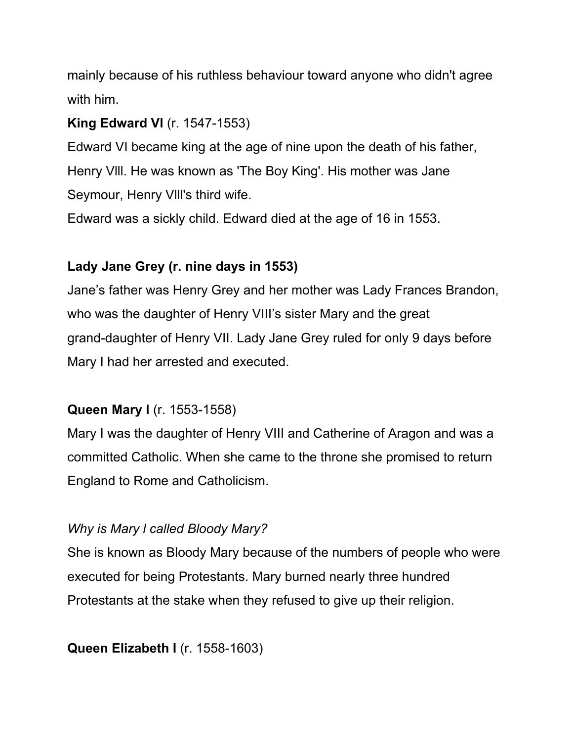mainly because of his ruthless behaviour toward anyone who didn't agree with him.

### **King Edward Vl** (r. 1547-1553)

Edward VI became king at the age of nine upon the death of his father, Henry Vlll. He was known as 'The Boy King'. His mother was Jane Seymour, Henry Vlll's third wife.

Edward was a sickly child. Edward died at the age of 16 in 1553.

### **Lady Jane Grey (r. nine days in 1553)**

Jane's father was Henry Grey and her mother was Lady Frances Brandon, who was the daughter of Henry VIII's sister Mary and the great grand-daughter of Henry VII. Lady Jane Grey ruled for only 9 days before Mary I had her arrested and executed.

### **Queen Mary l** (r. 1553-1558)

Mary I was the daughter of Henry VIII and Catherine of Aragon and was a committed Catholic. When she came to the throne she promised to return England to Rome and Catholicism.

### *Why is Mary l called Bloody Mary?*

She is known as Bloody Mary because of the numbers of people who were executed for being Protestants. Mary burned nearly three hundred Protestants at the stake when they refused to give up their religion.

### **Queen Elizabeth I** (r. 1558-1603)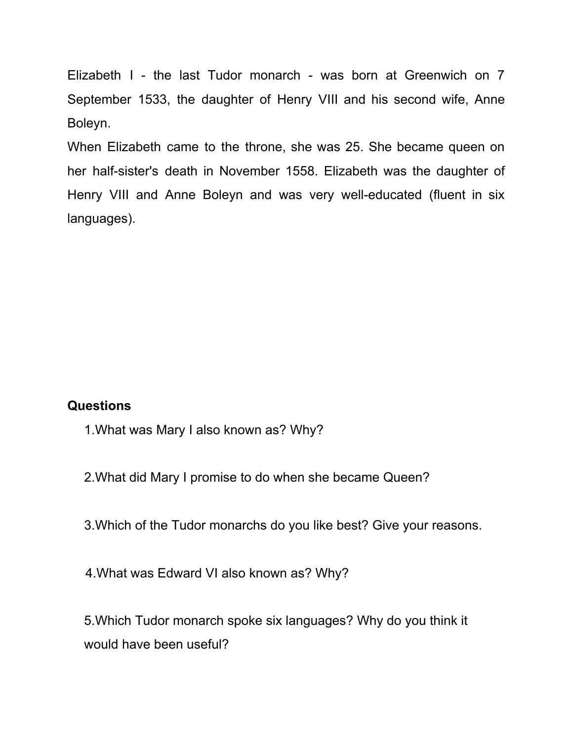Elizabeth I - the last Tudor monarch - was born at Greenwich on 7 September 1533, the daughter of Henry VIII and his second wife, Anne Boleyn.

When Elizabeth came to the throne, she was 25. She became queen on her half-sister's death in November 1558. Elizabeth was the daughter of Henry VIII and Anne Boleyn and was very well-educated (fluent in six languages).

#### **Questions**

- 1.What was Mary I also known as? Why?
- 2.What did Mary I promise to do when she became Queen?
- 3.Which of the Tudor monarchs do you like best? Give your reasons.
- 4.What was Edward VI also known as? Why?

5.Which Tudor monarch spoke six languages? Why do you think it would have been useful?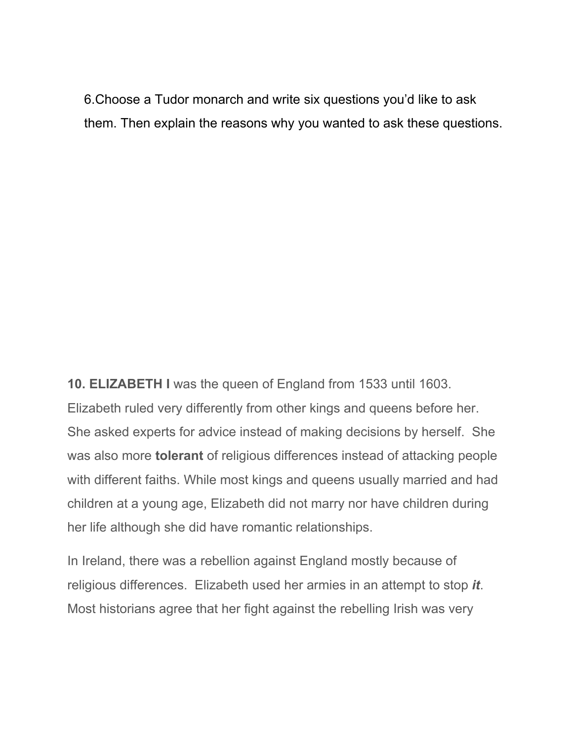6.Choose a Tudor monarch and write six questions you'd like to ask them. Then explain the reasons why you wanted to ask these questions.

**10. ELIZABETH I** was the queen of England from 1533 until 1603. Elizabeth ruled very differently from other kings and queens before her. She asked experts for advice instead of making decisions by herself. She was also more **tolerant** of religious differences instead of attacking people with different faiths. While most kings and queens usually married and had children at a young age, Elizabeth did not marry nor have children during her life although she did have romantic relationships.

In Ireland, there was a rebellion against England mostly because of religious differences. Elizabeth used her armies in an attempt to stop *it*. Most historians agree that her fight against the rebelling Irish was very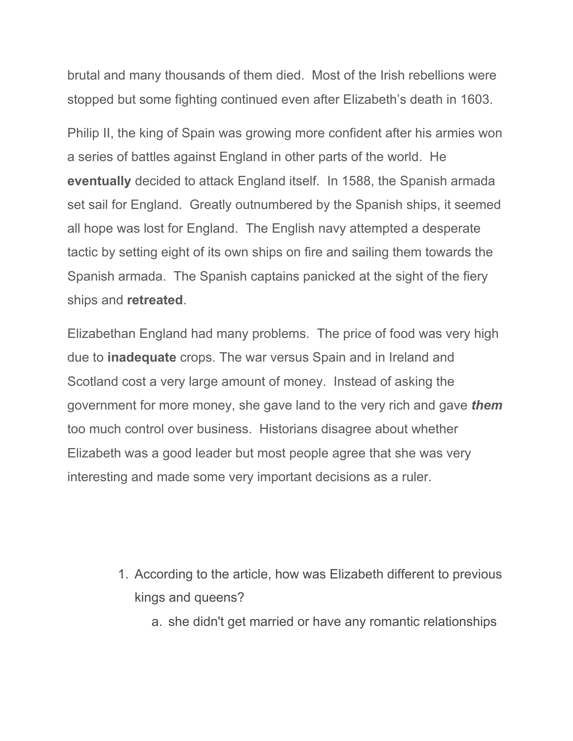brutal and many thousands of them died. Most of the Irish rebellions were stopped but some fighting continued even after Elizabeth's death in 1603.

Philip II, the king of Spain was growing more confident after his armies won a series of battles against England in other parts of the world. He **eventually** decided to attack England itself. In 1588, the Spanish armada set sail for England. Greatly outnumbered by the Spanish ships, it seemed all hope was lost for England. The English navy attempted a desperate tactic by setting eight of its own ships on fire and sailing them towards the Spanish armada. The Spanish captains panicked at the sight of the fiery ships and **retreated**.

Elizabethan England had many problems. The price of food was very high due to **inadequate** crops. The war versus Spain and in Ireland and Scotland cost a very large amount of money. Instead of asking the government for more money, she gave land to the very rich and gave *them* too much control over business. Historians disagree about whether Elizabeth was a good leader but most people agree that she was very interesting and made some very important decisions as a ruler.

- 1. According to the article, how was Elizabeth different to previous kings and queens?
	- a. she didn't get married or have any romantic relationships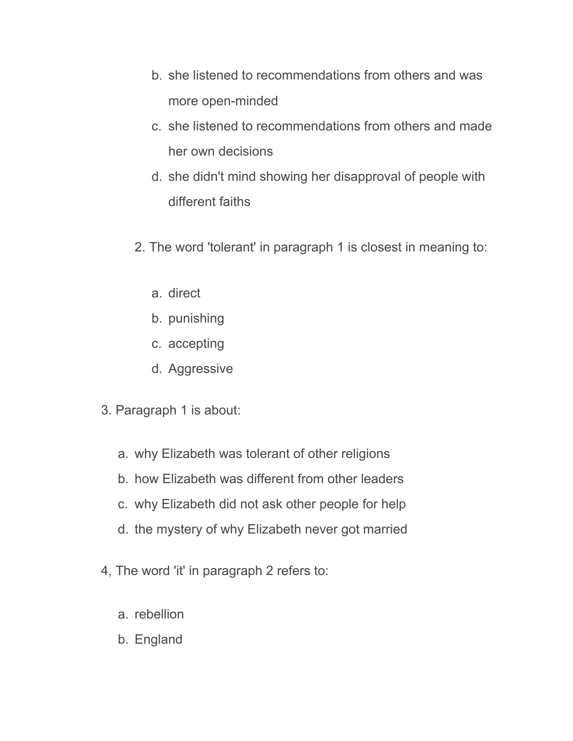- b. she listened to recommendations from others and was more open-minded
- c. she listened to recommendations from others and made her own decisions
- d. she didn't mind showing her disapproval of people with different faiths
- 2. The word 'tolerant' in paragraph 1 is closest in meaning to:
	- a. direct
	- b. punishing
	- c. accepting
	- d. Aggressive
- 3. Paragraph 1 is about:
	- a. why Elizabeth was tolerant of other religions
	- b. how Elizabeth was different from other leaders
	- c. why Elizabeth did not ask other people for help
	- d. the mystery of why Elizabeth never got married
- 4, The word 'it' in paragraph 2 refers to:
	- a. rebellion
	- b. England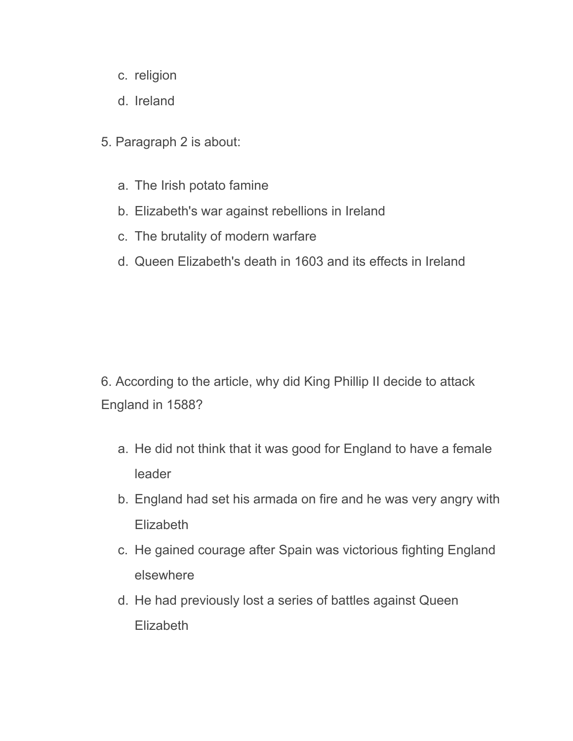- c. religion
- d. Ireland
- 5. Paragraph 2 is about:
	- a. The Irish potato famine
	- b. Elizabeth's war against rebellions in Ireland
	- c. The brutality of modern warfare
	- d. Queen Elizabeth's death in 1603 and its effects in Ireland

6. According to the article, why did King Phillip II decide to attack England in 1588?

- a. He did not think that it was good for England to have a female leader
- b. England had set his armada on fire and he was very angry with **Elizabeth**
- c. He gained courage after Spain was victorious fighting England elsewhere
- d. He had previously lost a series of battles against Queen **Elizabeth**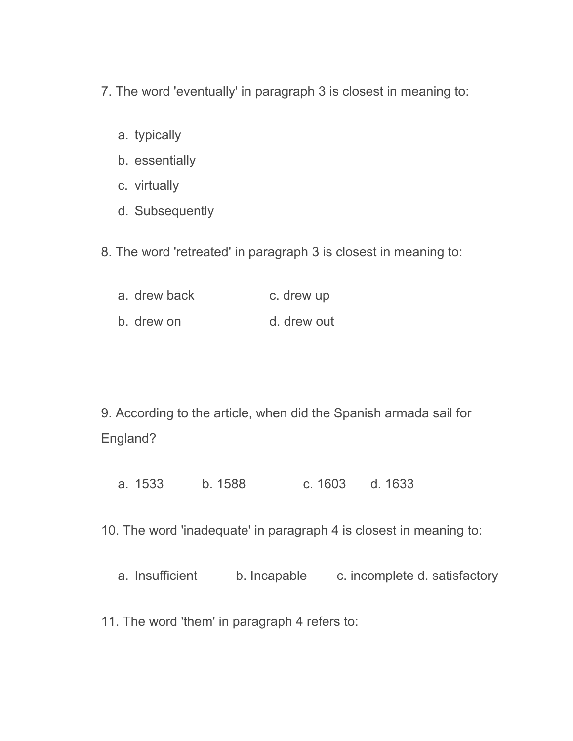- 7. The word 'eventually' in paragraph 3 is closest in meaning to:
	- a. typically
	- b. essentially
	- c. virtually
	- d. Subsequently
- 8. The word 'retreated' in paragraph 3 is closest in meaning to:
	- a. drew back c. drew up b. drew on d. drew out

- 9. According to the article, when did the Spanish armada sail for England?
	- a. 1533 b. 1588 c. 1603 d. 1633
- 10. The word 'inadequate' in paragraph 4 is closest in meaning to:
	- a. Insufficient b. Incapable c. incomplete d. satisfactory
- 11. The word 'them' in paragraph 4 refers to: